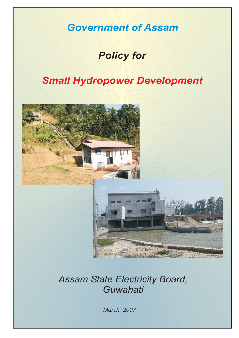*Government of Assam*

## *Policy for*

## *Small Hydropower Development*



### *Assam State Electricity Board, Guwahati*

*March, 2007*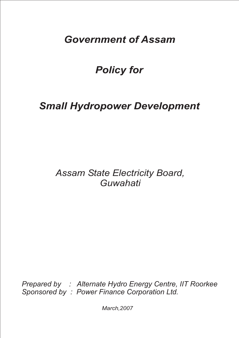## *Government of Assam*

# *Policy for*

# *Small Hydropower Development*

### *Assam State Electricity Board, Guwahati*

*Prepared by : Alternate Hydro Energy Centre, IIT Roorkee Sponsored by : Power Finance Corporation Ltd.*

*March,2007*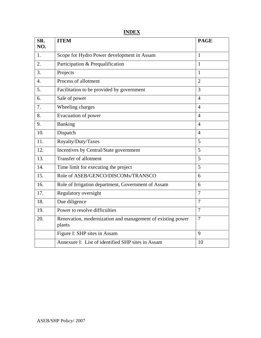**INDEX**

| SR.<br>NO.       | <b>ITEM</b>                                                          | <b>PAGE</b>    |
|------------------|----------------------------------------------------------------------|----------------|
| 1.               | Scope for Hydro Power development in Assam                           | $\mathbf{1}$   |
| 2.               | Participation & Prequalification                                     | $\mathbf{1}$   |
| 3.               | Projects                                                             | $\mathbf{1}$   |
| $\overline{4}$ . | Process of allotment                                                 | $\overline{2}$ |
| 5.               | Facilitation to be provided by government                            | 3              |
| 6.               | Sale of power                                                        | $\overline{4}$ |
| 7.               | Wheeling charges                                                     | $\overline{4}$ |
| 8.               | Evacuation of power                                                  | 4              |
| 9.               | Banking                                                              | $\overline{4}$ |
| 10.              | Dispatch                                                             | $\overline{4}$ |
| 11.              | Royalty/Duty/Taxes                                                   | 5              |
| 12.              | Incentives by Central/State government                               | 5              |
| 13.              | <b>Transfer of allotment</b>                                         | 5              |
| 14.              | Time limit for executing the project                                 | 5              |
| 15.              | Role of ASEB/GENCO/DISCOMs/TRANSCO                                   | 6              |
| 16.              | Role of Irrigation department, Government of Assam                   | 6              |
| 17.              | Regulatory oversight                                                 | $\overline{7}$ |
| 18.              | Due diligence                                                        | $\tau$         |
| 19.              | Power to resolve difficulties                                        | $\overline{7}$ |
| 20.              | Renovation, modernization and management of existing power<br>plants | $\overline{7}$ |
|                  | Figure I: SHP sites in Assam                                         | 9              |
|                  | Annexure I: List of identified SHP sites in Assam                    | 10             |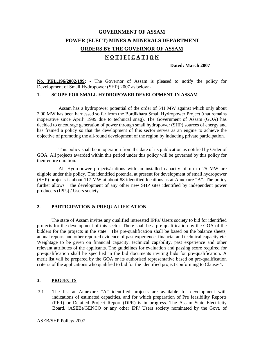### **GOVERNMENT OF ASSAM POWER (ELECT) MINES & MINERALS DEPARTMENT ORDERS BY THE GOVERNOR OF ASSAM N O T I F I C A T I O N**

 **Dated: March 2007** 

**No. PEL.196/2002/199: -** The Governor of Assam is pleased to notify the policy for Development of Small Hydropower (SHP) 2007 as below:-

#### **1. SCOPE FOR SMALL HYDROPOWER DEVELOPMENT IN ASSAM**

 Assam has a hydropower potential of the order of 541 MW against which only about 2.00 MW has been harnessed so far from the Bordikharu Small Hydropower Project (that remains inoperative since April' 1999 due to technical snag). The Government of Assam (GOA) has decided to encourage generation of power through small hydropower (SHP) sources of energy and has framed a policy so that the development of this sector serves as an engine to achieve the objective of promoting the all-round development of the region by inducting private participation.

 This policy shall be in operation from the date of its publication as notified by Order of GOA. All projects awarded within this period under this policy will be governed by this policy for their entire duration.

 All Hydropower projects/stations with an installed capacity of up to 25 MW are eligible under this policy. The identified potential at present for development of small hydropower (SHP) projects is about 117 MW at about 88 identified locations as at Annexure "A". The policy further allows the development of any other new SHP sites identified by independent power producers (IPPs) / Users society

#### **2. PARTICIPATION & PREQUALIFICATION**

 The state of Assam invites any qualified interested IPPs/ Users society to bid for identified projects for the development of this sector. There shall be a pre-qualification by the GOA of the bidders for the projects in the state. The pre-qualification shall be based on the balance sheets, annual reports and other reported evidence of past experience, financial and technical capacity etc. Weightage to be given on financial capacity, technical capability, past experience and other relevant attributes of the applicants. The guidelines for evaluation and passing score required for pre-qualification shall be specified in the bid documents inviting bids for pre-qualification. A merit list will be prepared by the GOA or its authorised representative based on pre-qualification criteria of the applications who qualified to bid for the identified project conforming to Clause-4.

#### **3. PROJECTS**

3.1 The list at Annexure "A" identified projects are available for development with indications of estimated capacities, and for which preparation of Pre feasibility Reports (PFR) or Detailed Project Report (DPR) is in progress. The Assam State Electricity Board. (ASEB)/GENCO or any other IPP/ Users society nominated by the Govt. of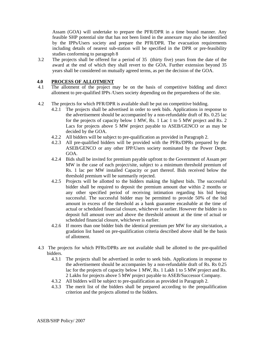Assam (GOA) will undertake to prepare the PFR/DPR in a time bound manner. Any feasible SHP potential site that has not been listed in the annexure may also be identified by the IPPs/Users society and prepare the PFR/DPR. The evacuation requirements including details of nearest sub-station will be specified in the DPR or pre-feasibility studies conforming to paragraph 8

3.2 The projects shall be offered for a period of 35 (thirty five) years from the date of the award at the end of which they shall revert to the GOA. Further extension beyond 35 years shall be considered on mutually agreed terms, as per the decision of the GOA.

#### **4.0 PROCESS OF ALLOTMENT**

- 4.1 The allotment of the project may be on the basis of competitive bidding and direct allotment to pre-qualified IPPs /Users society depending on the preparedness of the site.
- 4.2 The projects for which PFR/DPR is available shall be put on competitive bidding.
	- 4.2.1 The projects shall be advertised in order to seek bids. Applications in response to the advertisement should be accompanied by a non-refundable draft of Rs. 0.25 lac for the projects of capacity below 1 MW, Rs. 1 Lac 1 to 5 MW project and Rs. 2 Lacs for projects above 5 MW project payable to ASEB/GENCO or as may be decided by the GOA.
	- 4.2.2 All bidders will be subject to pre-qualification as provided in Paragraph 2.
	- 4.2.3 All pre-qualified bidders will be provided with the PFRs/DPRs prepared by the ASEB/GENCO or any other IPP/Users society nominated by the Power Deptt. GOA.
	- 4.2.4 Bids shall be invited for premium payable upfront to the Government of Assam per MW in the case of each project/site, subject to a minimum threshold premium of Rs. 1 lac per MW installed Capacity or part thereof. Bids received below the threshold premium will be summarily rejected.
	- 4.2.5 Projects will be allotted to the bidders making the highest bids. The successful bidder shall be required to deposit the premium amount due within 2 months or any other specified period of receiving intimation regarding his bid being successful. The successful bidder may be permitted to provide 50% of the bid amount in excess of the threshold as a bank guarantee encashable at the time of actual or scheduled financial closure, whichever is earlier. However the bidder is to deposit full amount over and above the threshold amount at the time of actual or scheduled financial closure, whichever is earlier.
	- 4.2.6 If mores than one bidder bids the identical premium per MW for any site/station, a gradation list based on pre-qualification criteria described above shall be the basis of allotment.
- 4.3 The projects for which PFRs/DPRs are not available shall be allotted to the pre-qualified bidders.
	- 4.3.1 The projects shall be advertised in order to seek bids. Applications in response to the advertisement should be accompanies by a non-refundable draft of Rs. Rs 0.25 lac for the projects of capacity below 1 MW, Rs. 1 Lakh 1 to 5 MW project and Rs. 2 Lakhs for projects above 5 MW project payable to ASEB/Successor Company.
	- 4.3.2 All bidders will be subject to pre-qualification as provided in Paragraph 2.
	- 4.3.3 The merit list of the bidders shall be prepared according to the prequalification criterion and the projects allotted to the bidders.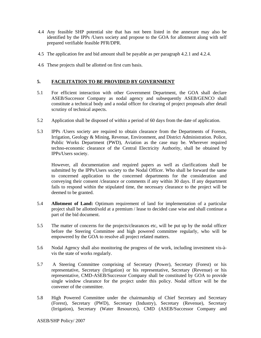- 4.4 Any feasible SHP potential site that has not been listed in the annexure may also be identified by the IPPs /Users society and propose to the GOA for allotment along with self prepared verifiable feasible PFR/DPR.
- 4.5 The application fee and bid amount shall be payable as per paragraph 4.2.1 and 4.2.4.
- 4.6 These projects shall be allotted on first cum basis.

#### **5. FACILITATION TO BE PROVIDED BY GOVERNMENT**

- 5.1 For efficient interaction with other Government Department, the GOA shall declare ASEB/Successor Company as nodal agency and subsequently ASEB/GENCO shall constitute a technical body and a nodal officer for clearing of project proposals after detail scrutiny of technical aspects.
- 5.2 Application shall be disposed of within a period of 60 days from the date of application.
- 5.3 IPPs /Users society are required to obtain clearance from the Departments of Forests, Irrigation, Geology & Mining, Revenue, Environment, and District Administration. Police, Public Works Department (PWD), Aviation as the case may be. Wherever required techno-economic clearance of the Central Electricity Authority, shall be obtained by IPPs/Users society.

 However, all documentation and required papers as well as clarifications shall be submitted by the IPPs/Users society to the Nodal Officer. Who shall be forward the same to concerned application to the concerned departments for the consideration and conveying their consent /clearance or comments if any within 30 days. If any department fails to respond within the stipulated time, the necessary clearance to the project will be deemed to be granted.

- 5.4 **Allotment of Land:** Optimum requirement of land for implementation of a particular project shall be allotted/sold at a premium / lease to decided case wise and shall continue a part of the bid document.
- 5.5 The matter of concerns for the projects/clearances etc, will be put up by the nodal officer before the Steering Committee and high powered committee regularly, who will be empowered by the GOA to resolve all project related matters.
- 5.6 Nodal Agency shall also monitoring the progress of the work, including investment vis-àvis the state of works regularly.
- 5.7 A Steering Committee comprising of Secretary (Power), Secretary (Forest) or his representative, Secretary (Irrigation) or his representative, Secretary (Revenue) or his representative, CMD-ASEB/Successor Company shall be constituted by GOA to provide single window clearance for the project under this policy. Nodal officer will be the convener of the committee.
- 5.8 High Powered Committee under the chairmanship of Chief Secretary and Secretary (Forest), Secretary (PWD), Secretary (Industry), Secretary (Revenue), Secretary (Irrigation), Secretary (Water Resources), CMD (ASEB/Successor Company and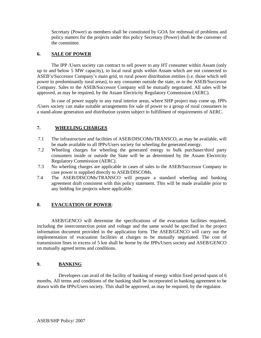Secretary (Power) as members shall be constituted by GOA for redressal of problems and policy matters for the projects under this policy Secretary (Power) shall be the convener of the committee.

#### **6. SALE OF POWER**

 The IPP /Users society can contract to sell power to any HT consumer within Assam (only up to and below 5 MW capacity), to local rural grids within Assam which are not connected to ASEB's/Successor Company's main grid, to rural power distribution entities (i.e. those which sell power to predominantly rural areas), to any consumer outside the state, or to the ASEB/Successor Company. Sales to the ASEB/Successor Company will be mutually negotiated. All sales will be approved, as may be required, by the Assam Electricity Regulatory Commission (AERC).

 In case of power supply to any rural interior areas, where SHP project may come up, IPPs /Users society can make suitable arrangements for sale of power to a group of rural consumers in a stand-alone generation and distribution system subject to fulfillment of requirements of AERC.

#### **7. WHEELING CHARGES**

- 7.1 The infrastructure and facilities of ASEB/DISCOMs/TRANSCO, as may be available, will be made available to all IPPs/Users society for wheeling the generated energy.
- 7.2 Wheeling charges for wheeling the generated energy to bulk purchaser/third party consumers inside or outside the State will be as determined by the Assam Electricity Regulatory Commission (AERC).
- 7.3 No wheeling charges are applicable in cases of sales to the ASEB/Successor Company in case power is supplied directly to ASEB/DISCOMs.
- 7.4 The ASEB/DISCOMs/TRANSCO will prepare a standard wheeling and banking agreement draft consistent with this policy statement. This will be made available prior to any bidding for projects where applicable.

#### **8. EVACUATION OF POWER**:

ASEB/GENCO will determine the specifications of the evacuation facilities required, including the interconnection point and voltage and the same would be specified in the project information document provided in the application form. The ASEB/GENCO will carry out the implementation of evacuation facilities at charges to be mutually negotiated. The cost of transmission lines in excess of 5 km shall be borne by the IPPs/Users society and ASEB/GENCO on mutually agreed terms and conditions.

#### **9. BANKING**

 Developers can avail of the facility of banking of energy within fixed period spans of 6 months. All terms and conditions of the banking shall be incorporated in banking agreement to be drawn with the IPPs/Users society. This shall be approved, as may be required, by the regulator.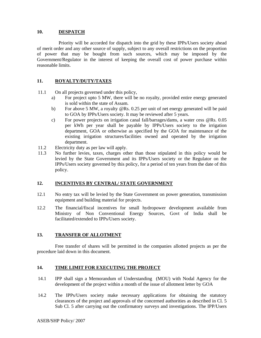#### **10. DESPATCH**

 Priority will be accorded for dispatch into the grid by these IPPs/Users society ahead of merit order and any other source of supply, subject to any overall restrictions on the proportion of power that may be bought from such sources, which may be imposed by the Government/Regulator in the interest of keeping the overall cost of power purchase within reasonable limits.

#### **11. ROYALTY/DUTY/TAXES**

- 11.1 On all projects governed under this policy,
	- a) For project upto 5 MW, there will be no royalty, provided entire energy generated is sold within the state of Assam.
	- b) For above 5 MW, a royalty @Rs. 0.25 per unit of net energy generated will be paid to GOA by IPPs/Users society. It may be reviewed after 5 years.
	- c) For power projects on irrigation canal fall/barrages/dams, a water cess @Rs. 0.05 per kWh per year shall be payable by IPPs/Users society to the irrigation department, GOA or otherwise as specified by the GOA for maintenance of the existing irrigation structures/facilities owned and operated by the irrigation department.
- 11.2 Electricity duty as per law will apply.
- 11.3 No further levies, taxes, charges other than those stipulated in this policy would be levied by the State Government and its IPPs/Users society or the Regulator on the IPPs/Users society governed by this policy, for a period of ten years from the date of this policy.

#### **12. INCENTIVES BY CENTRAL/ STATE GOVERNMENT**

- 12.1 No entry tax will be levied by the State Government on power generation, transmission equipment and building material for projects.
- 12.2 The financial/fiscal incentives for small hydropower development available from Ministry of Non Conventional Energy Sources, Govt of India shall be facilitated/extended to IPPs/Users society.

#### **13. TRANSFER OF ALLOTMENT**

 Free transfer of shares will be permitted in the companies allotted projects as per the procedure laid down in this document.

#### **14. TIME LIMIT FOR EXECUTING THE PROJECT**

- 14.1 IPP shall sign a Memorandum of Understanding (MOU) with Nodal Agency for the development of the project within a month of the issue of allotment letter by GOA
- 14.2 The IPPs/Users society make necessary applications for obtaining the statutory clearances of the project and approvals of the concerned authorities as described in Cl. 5 Sub Cl. 5 after carrying out the confirmatory surveys and investigations. The IPP/Users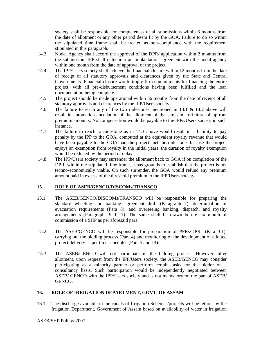society shall be responsible for completeness of all submissions within 6 months from the date of allotment or any other period deem fit by the GOA. Failure to do so within the stipulated time frame shall be treated as non-compliance with the requirement stipulated in this paragraph.

- 14.3 Nodal Agency shall accord the approval of the DPR/ application within 2 months from the submission. IPP shall enter into an implantation agreement with the nodal agency within one month from the date of approval of the project.
- 14.4 The IPP/Users society shall achieve the financial closure within 12 months from the date of receipt of all statutory approvals and clearances given by the State and Central Governments. Financial closure would imply firm commitments for financing the entire project, with all pre-disbursement conditions having been fulfilled and the loan documentation being complete.
- 14.5 The project should be made operational within 36 months from the date of receipt of all statutory approvals and clearances by the IPP/Users society.
- 14.6 The failure to reach any of the two milestones mentioned in 14.1 & 14.2 above will result in automatic cancellation of the allotment of the site, and forfeiture of upfront premium amounts. No compensation would be payable to the IPPs/Users society in such instance.
- 14.7 The failure to reach to milestone as in 14.3 above would result in a liability to pay penalty by the IPP to the GOA, computed at the equivalent royalty revenue that would have been payable to the GOA had the project met the milestone. In case the project enjoys an exemption from royalty in the initial years, the duration of royalty exemption would be reduced by the period of delay.
- 14.8 The IPP/Users society may surrender the allotment back to GOA if on completion of the DPR, within the stipulated time frame, it has grounds to establish that the project is not techno-economically viable. On such surrender, the GOA would refund any premium amount paid in excess of the threshold premium to the IPP/Users society.

#### **15. ROLE OF ASEB/GENCO/DISCOMs/TRANSCO**

- 15.1 The ASEB/GENCO/DISCOMs/TRANSCO will be responsible for preparing the standard wheeling and banking agreement draft (Paragraph 7), determination of evacuation requirements (Para 8), and overseeing banking, dispatch, and royalty arrangements (Paragraphs 9,10,11). The same shall be drawn before six month of commission of a SHP as per aforesaid para.
- 15.2 The ASEB/GENCO will be responsible for preparation of PFRs/DPRs (Para 3.1), carrying out the bidding process (Para 4) and monitoring of the development of allotted project delivery as per time schedules (Para 5 and 14).
- 15.3 The ASEB/GENCO will not participate in the bidding process. However, after allotment, upon request from the IPP/Users society, the ASEB/GENCO may consider participating as a minority partner or perform certain tasks for the bidder on a consultancy basis. Such participation would be independently negotiated between ASEB/ GENCO with the IPP/Users society and is not mandatory on the part of ASEB/ GENCO.

#### **16. ROLE OF IRRIGATION DEPARTMENT, GOVT. OF ASSAM**

16.1 The discharge available in the canals of Irrigation Schemes/projects will be let out by the Irrigation Department, Government of Assam based on availability of water in irrigation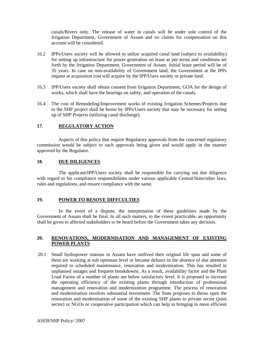canals/Rivers only. The release of water in canals will be under sole control of the Irrigation Department, Government of Assam and no claims for compensation on this account will be considered.

- 16.2 IPPs/Users society will be allowed to utilize acquired canal land (subject to availability) for setting up infrastructure for power generation on lease as per terms and conditions set forth by the Irrigation Department, Government of Assam. Initial lease period will be of 35 years. In case on non-availability of Government land, the Government at the IPPs request at acquisition cost will acquire by the IPP/Users society or private land.
- 16.3 IPP/Users society shall obtain consent from Irrigation Department, GOA for the design of works, which shall have the bearings on safety, and operation of the canals.
- 16.4 The cost of Remodeling/Improvement works of existing Irrigation Schemes/Projects due to the SHP project shall be borne by IPPs/Users society that may be necessary for setting up of SHP Projects (utilizing canal discharge).

#### **17. REGULATORY ACTION**

 Aspects of this policy that require Regulatory approvals from the concerned regulatory commission would be subject to such approvals being given and would apply in the manner approved by the Regulator.

#### **18. DUE DILIGENCES**

 The applicant/IPP/Users society shall be responsible for carrying out due diligence with regard to his compliance responsibilities under various applicable Central/State/other laws, rules and regulations, and ensure compliance with the same.

#### **19. POWER TO RESOVE DIFFCULTIES**

 In the event of a dispute, the interpretation of these guidelines made by the Government of Assam shall be final. In all such matters, to the extent practicable, an opportunity shall be given to affected stakeholders to be heard before the Government takes any decision.

#### **20. RENOVATIONS, MODERNISATION AND MANAGEMENT OF EXISTING POWER PLANTS**

20.1 Small hydropower stations in Assam have outlived their original life span and some of them are working at sub optimum level or became defunct in the absence of due attention required to scheduled maintenance, renovation and modernization. This has resulted in unplanned outages and frequent breakdowns. As a result, availability factor and the Plant Load Factor of a number of plants are below satisfactory level. It is proposed to increase the operating efficiency of the existing plants through introduction of professional management and renovation and modernization programme. The process of renovation and modernisation involves substantial investment. The State proposes to throw open the renovation and modernisation of some of the existing SHP plants to private sector (joint sector) or NGOs or cooperative participation which can help in bringing in more efficient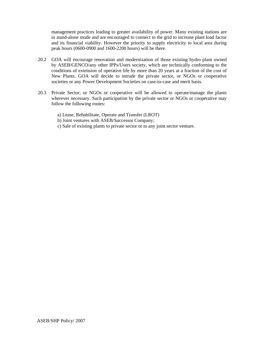management practices leading to greater availability of power. Many existing stations are in stand-alone mode and are encouraged to connect to the grid to increase plant load factor and its financial viability. However the priority to supply electricity to local area during peak hours (0600-0900 and 1600-2200 hours) will be there.

- 20.2 GOA will encourage renovation and modernization of those existing hydro plant owned by ASEB/GENCO/any other IPPs/Users society, which are technically conforming to the conditions of extension of operative life by more than 20 years at a fraction of the cost of New Plants. GOA will decide to intrude the private sector, or NGOs or cooperative societies or any Power Development Societies on case-to-case and merit basis.
- 20.3 Private Sector, or NGOs or cooperative will be allowed to operate/manage the plants wherever necessary. Such participation by the private sector or NGOs or cooperative may follow the following routes:
	- a) Lease, Rehabilitate, Operate and Transfer (LROT)
	- b) Joint ventures with ASEB/Successor Company;
	- c) Sale of existing plants to private sector or to any joint sector venture.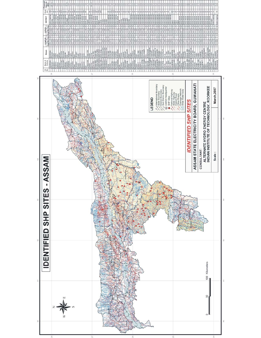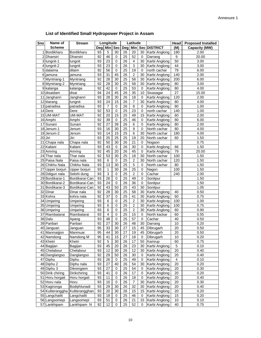#### **List of Identified Small Hydropower Project in Assam**

| Sno | Name of          | <b>Stream</b>  | Longitude<br>Latitude |            |                 |                 | Head                    | <b>Proposed Installed</b> |               |                  |                      |
|-----|------------------|----------------|-----------------------|------------|-----------------|-----------------|-------------------------|---------------------------|---------------|------------------|----------------------|
|     | <b>Scheme</b>    |                | Deg                   | <b>Min</b> | <b>Sec</b>      | Deg             | Min                     |                           | Sec DISTRICT  | (M)              | <b>Capacity (MW)</b> |
|     | 1 Bordikharu     | Bordikharu     | 93                    | 5          | 30              | 26              | 20                      | 30                        | Karbi Anglong | 180              | 2.00                 |
|     | 2 Dhansiri       | Dhansiri       | 92                    | 46         | $\mathbf 0$     | 25              | 52                      | 0                         | Darrang       | $\boldsymbol{9}$ | 20.00                |
|     | 3 lungnit-1      | lungnit        | 93                    | 23         | $\mathbf 0$     | 26              | $\overline{\mathbf{4}}$ | 30                        | Karbi Anglong | 50               | 3.00                 |
|     | 4 lungnit-2      | lungnit        | 93                    | 23         | 0               | 26              | 3                       | 30                        | Karbi Anglong | 44               | 3.00                 |
|     | 5 dalaima        | dilaim         | 92                    | 56         | $\mathbf 0$     | 25              | 19                      | 0                         | north cachar  | 79               | 6.00                 |
|     | 6 jamuna         | jamuna         | 93                    | 31         | 45              | 26              | $\overline{c}$          | 30                        | Karbi Anglong | 140              | 2.00                 |
| 7   | Myntriang-1      | Myntriang      | 92                    | 28         | 30              | 25              | 58                      | 30                        | Karbi Anglong | 200              | 6.00                 |
|     | 8 Myntriang-2    | Myntriang      | 92                    | 28         | 30              | 25              | 58                      | 30                        | Karbi Anglong | 80               | 3.00                 |
|     | 9 kalanga        | kalanga        | 92                    | 42         | $\mathbf 0$     | 25              | 53                      | 0                         | Karbi Anglong | 80               | 4.00                 |
|     | 10 disaidam      | disai          | 94                    | 24         | 45              | 26              | 35                      | 10                        | Sivasagar     | 27               | 15.00                |
| 11  | Janghanri        | Janghanri      | 93                    | 28         | 30              | $\overline{26}$ | 18                      | $\mathbf 0$               | Karbi Anglong | 120              | 2.00                 |
|     | 12 klarang       | lungnit        | 93                    | 24         | 15              | 26              | 7                       | 30                        | Karbi Anglong | 80               | 4.00                 |
|     | 13 patradisa     | patradisa      | 93                    | 7          | $\mathbf 0$     | 26              | 8                       | 0                         | Karbi Anglong | 80               | 1.00                 |
|     | 14 Dere          | Dere           | 92                    | 53         | $\mathbf 0$     | 25              | $\overline{23}$         | 0                         | north cachar  | 140              | 1.00                 |
|     | 15 UM-MAT        | UM-MAT         | 92                    | 20         | 15              | 25              | 49                      | 15                        | Karbi Anglong | 60               | 2.00                 |
|     | 16 Amphi         | Amphi          | 92                    | 39         | 0               | 25              | 46                      | 0                         | Karbi Anglong | 80               | 6.00                 |
|     | 17 Sunani        | Sunani         | 92                    | 27         | 39              | 26              | 6                       | $\mathbf 0$               | Karbi Anglong | 80               | 2.00                 |
|     | 18 Jenum-1       | Jenum          | 93                    | 16         | 30              | 25              | $\boldsymbol{9}$        | 0                         | North cachar  | 80               | 4.00                 |
|     | 19 Jenum-2       | Jenum          | 93                    | 14         | 15              | 25              | $\,6$                   | 30                        | North cachar  | 180              | 4.00                 |
|     | 20 Jiri          | Jiri           | 93                    | 25         | 25              | 25              | 19                      | 20                        | North cachar  | 60               | 1.50                 |
|     | 21 Chapa nala    | Chapa nala     | 92                    | 50         | 30              | 26              | 21                      | 0                         | Nogaon        |                  | 0.75                 |
|     | 22 Kaliani       | Kaliani        | 93                    | 43         | $\mathbf 0$     | 26              | 30                      | 0                         | Karbi Anglong | 66               | 1.50                 |
|     | 23 Amring        | Amring         | 92                    | 45         | 20              | 26              | 45                      | 0                         | Karbi Anglong | 79               | 20.00                |
|     | 24 Thar nala     | Thar nala      | 92                    | 53         | 30              | 25              | 18                      | 30                        | North cachar  | 100              | 1.50                 |
|     | 25 Paisa Nala    | Paisa nala     | 93                    | 6          | $\mathbf 0$     | 25              | $\boldsymbol{2}$        | 30                        | North cachar  | 120              | 1.50                 |
|     | 26 Chikhu Nala   | Chikhu Nala    | 93                    | 13         | $\overline{30}$ | 25              | $\overline{5}$          | 0                         | North cachar  | 80               | 1.50                 |
|     | 27 Upper borjuri | Upper borjuri  | 93                    | 1          | 30              | 26              | $\overline{25}$         | 0                         | Nagon         | 100              | 1.50                 |
|     | 28 Ddigun nala   | Selohi dung    | 93                    | 3          | $\mathbf 0$     | 25              | $\overline{2}$          | 0                         | Cachar        | 240              | 2.00                 |
|     | 29 Bordikarai-1  | Bordikarai-Can | 93                    | 26         | $\mathbf 0$     | 25              | 49                      | 0                         | Sonitpur      |                  | 1.50                 |
|     | 30 Bordikarai-2  | Bordikarai-Can | 93                    | 24         | $\pmb{0}$       | 26              | 36                      | 0                         | Sonitpur      |                  | 1.50                 |
|     | 31 Bordikarai-3  | Bordikarai-Can | 92                    | 43         | 50              | 25              | 43                      | 30                        | Sonitpur      |                  | 1.05                 |
| 32  | Dinar            | Dinar nala     | 92                    | 28         | 30              | 25              | 58                      | 30                        | Karbi Anglong | 40               | 0.50                 |
|     | 33 Kohra         | kohra nala     | 92                    | 37         | 0               | 25              | 41                      | 30                        | Karbi Anglong | 60               | 0.75                 |
|     | 34 Umjaring      | Umjaring       | 93                    | 6          | $\mathbf 0$     | 25              | $\overline{2}$          | 30                        | Karbi Anglong | 100              | 1.00                 |
|     | 35 Umjaring      | Umjaring       | 93                    | 6          | $\mathbf 0$     | 25              | $\overline{2}$          | 30                        | Karbi Anglong | 100              | 0.75                 |
|     | 36 Umjaring      | Umjaring       | 93                    | 6          | $\mathbf 0$     | $\overline{25}$ | $\overline{2}$          | 30                        | Karbi Anglong | 60               | 0.90                 |
| 37  | Riambatarai      | Riambatarai    | 93                    | 4          | $\mathbf 0$     | 25              | 15                      | 0                         | North kackar  | 60               | 0.55                 |
|     | 38 Dalu          | Apang          | 93                    | 48         | $\mathbf 0$     | 25              | $\overline{57}$         | 0                         | Cachar        | 40               | 0.50                 |
|     | 39 Panbari       | Panbari        | 92                    | 27         | 30              | 26              | 48                      | 30                        | Darrang       | 10               | 0.20                 |
|     | 40 Janguan       | Janguan        | 95                    | 33         | 30              | $\overline{27}$ | $\overline{15}$         | 45                        | Dibrugarh     | $\overline{20}$  | 0.50                 |
|     | 41 Manmaijjon    | Manmuar        | 95                    | 44         | 30              | 27              | 19                      | 45                        | Dibrugarh     | 20               | 0.50                 |
|     | 42 Namdong       | Namdong M      | 95                    | 41         | 15              | 27              | 18                      | 0                         | Dibrugarh     | 10               | 0.20                 |
|     | 43 Khetri        | Khetri         | 92                    | 5          | 30              | 26              | 17                      | 50                        | Kamrup        | 60               | 0.75                 |
|     | 44 Bagijan       | Bagijan        | 93                    | 45         | 20              | 26              | 23                      | 30                        | Karbi Anglong | 5                | 0.10                 |
|     | 45 Chelabour     | Chelabour      | 93                    | 12         | 30              | 26              | 12                      | 30                        | Karbi Anglong | 20               | 0.40                 |
|     | 46 Danglangso    | Danglangso     | 92                    | 29         | 50              | 26              | $30\,$                  | 0                         | Karbi Anglong | 20               | 0.40                 |
|     | 47 Diphu         | Diphu          | 93                    | 26         | 0               | 25              | 49                      | 0                         | Karbi Anglong | 4                | 0.10                 |
|     | 48 Diphu 2       | Diphu nala     | 93                    | 27         | 40              | 26              | 54                      | 30                        | Karbi Anglong | 20               | 0.20                 |
|     | 49 Diphu 3       | Dikrengiem     | 93                    | 27         | $\mathbf 0$     | 25              | 54                      | 0                         | Karbi Anglong | 20               | 0.30                 |
|     | 50 Dirik chiring | Dirikchiring   | 93                    | 41         | 0               | 26              | 17                      | 0                         | Karbi Anglong | 20               | 0.20                 |
| 51  | Horu horgati     | Horu horgati   | 93                    | 11         | $\mathbf 0$     | 26              | 18                      | 0                         | Karbi Anglong | 20               | 0.40                 |
|     | 52 Horu nala     | Horu           | 93                    | 10         | $\pmb{0}$       | 26              | $\boldsymbol{7}$        | 30                        | Karbi Anglong | 20               | 0.30                 |
|     | 53 Kagironga     | Bodiphlunadi   | 93                    | 29         | 30              | 26              | 32                      | 30                        | Karbi Anglong | 20               | 0.40                 |
|     | 54 Kuliteranggha | Kuliterangghan | 93                    | 20         | 30              | 26              | 15                      | 15                        | Karbi Anglong | 20               | 0.20                 |
| 55  | Langchailit      | Langchailit    | 93                    | 19         | 0               | 25              | 46                      | 0                         | Karbi Anglong | 15               | 0.20                 |
|     | 56 Langsomepi    | Langsomepi     | 93                    | 51         | 0               | 26              | 21                      | 15                        | Karbi Anglong | 10               | 0.10                 |
| 57  | Lankhipam        | Lankhipam N    | 92                    | 12         | $\overline{0}$  | 25              | 52                      | $\Omega$                  | Karbi Anglong | 40               | 0.75                 |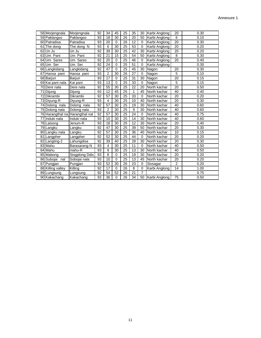|    | 58 Morjengnala    | Morjengnala                     | 92 | 34             | 45             | 25 | 35           | 30          | Karbi Anglong | 20             | 0.30 |
|----|-------------------|---------------------------------|----|----------------|----------------|----|--------------|-------------|---------------|----------------|------|
|    | 59 Paklangso      | Paklangso                       | 93 | 18             | 30             | 26 | 20           | 50          | Karbi Anglong | 6              | 0.10 |
|    | 60 Patradisa      | Patradisa                       | 93 | 20             | $\mathbf 0$    | 26 | 12           | $\mathbf 0$ | Karbi Anglong | 20             | 0.30 |
| 61 | The dong          | The dong N                      | 93 | 6              | 30             | 25 | 53           | 0           | Karbi Anglong | 20             | 0.20 |
| 62 | Un Ju             | Un Ju                           | 92 | 39             | 30             | 25 | 42           | 30          | Karbi Anglong | 20             | 0.20 |
| 63 | Um Pani           | Um Pani                         | 92 | 21             | 15             | 25 | 54           | 50          | Karbi Anglong | 8              | 0.30 |
| 64 | Um Sares          | Um Sares                        | 92 | 20             | $\overline{0}$ | 25 | 46           | $\mathbf 0$ | Karbi Anglong | 20             | 0.40 |
| 65 | Um Ser            | Um Ser                          | 92 | 24             | $\overline{0}$ | 25 | 51           | 0           | Karbi Anglong |                | 0.30 |
| 66 | Langkidang        | Langkidang                      | 92 | 47             | $\overline{0}$ | 25 | 45           | 30          | Nagon         | 20             | 0.30 |
| 67 | Hansa pani        | Hansa pani                      | 93 | $\overline{2}$ | 30             | 26 | 27           | $\Omega$    | Nagon         | 5              | 0.10 |
|    | 68 Barjuri        | Barjuri                         | 93 | 17             | $\mathbf 0$    | 25 | 31           | 30          | Nagon         | 20             | 0.15 |
|    | 69 Kai pani nala  | Kai pani                        | 93 | 13             | $\overline{0}$ | 25 | 33           | $\mathbf 0$ | Nagon         | 5              | 0.15 |
| 70 | Dere nala         | Dere nala                       | 92 | 55             | 30             | 25 | 22           | 20          | North kachar  | 20             | 0.50 |
| 71 | Dijung            | Dijung                          | 93 | 12             | 45             | 25 | $\mathbf{1}$ | 45          | North kachar  | 40             | 0.40 |
| 72 | Dikrambi          | Dikrambi                        | 92 | 57             | 30             | 25 | 33           | $\Omega$    | North kachar  | 20             | 0.20 |
|    | 73 Diyung-R       | Diyung-R                        | 93 | 4              | 30             | 25 | 10           | 40          | North kachar  | 20             | 0.30 |
|    | 74 Dolong nala    | Dolong nala                     | 92 | 57             | 30             | 25 | 19           | 30          | North kachar  | 40             | 0.60 |
|    | 75 Dolong nala    | Dolong nala                     | 93 | $\overline{2}$ | 30             | 25 | 9            | 30          | North kachar  | 40             | 0.60 |
|    |                   | 76 Harangthal na Harangthal nal | 92 | 57             | 30             | 25 | 24           | $\mathbf 0$ | North kachar  | 40             | 0.75 |
| 77 | Induki nala       | Induki nala                     | 93 | 10             | 30             | 25 | 14           | 30          | North kachar  | 40             | 0.60 |
|    | 78 Laisong        | Jenum-R                         | 93 | 18             | 30             | 25 | 12           | 30          | North kachar  | 20             | 0.40 |
|    | 79 Langku         | Langku                          | 92 | 47             | 30             | 25 | 39           | 50          | North kachar  | 20             | 0.30 |
| 80 | Langku nala       | Langku                          | 92 | 57             | 30             | 25 | 36           | 40          | North kachar  | 10             | 0.15 |
| 81 | Langpher          | Langpher                        | 92 | 52             | 30             | 25 | 44           | $\Omega$    | North kachar  | 20             | 0.20 |
| 82 | Langting-2        | Lahungdisa                      | 92 | 39             | 40             | 25 | 28           | 30          | North kachar  | 20             | 0.30 |
|    | 83 Mahu           | Barasarang-N                    | 93 | 4              | 30             | 25 | 11           | 0           | North kachar  | 40             | 0.50 |
|    | 84 Mahu           | mahu-R                          | 93 | 9              | 30             | 25 | 13           | 30          | North kachar  | 40             | 0.50 |
|    | 85 Mabong         | Singplong Ddis                  | 93 | 8              | 0              | 25 | 19           | 30          | North kachar  | 20             | 0.20 |
| 86 | Subojai nal       | Sobojai nala                    | 93 | 10             | $\Omega$       | 25 | 13           | 45          | North kachar  | 20             | 0.20 |
| 87 | Pungjan           | Pungjan                         | 93 | 52             | 30             | 26 | 23           | $\mathbf 0$ | Sivsagar      | $\overline{2}$ | 0.20 |
|    | 88 Killing valley | Killing                         | 92 | 17             | $\mathbf 0$    | 26 | 8            | 0           | Karbi Anglong | 14             | 1.00 |
| 89 | Lungsung          | Lungsung                        | 92 | 54             | 52             | 26 | 21           | 7           |               |                | 0.75 |
|    | 90 Kakachang      | Kakachang                       | 93 | 36             | $\Omega$       | 26 | 34           | 50          | Karbi Anglong | 75             | 0.50 |